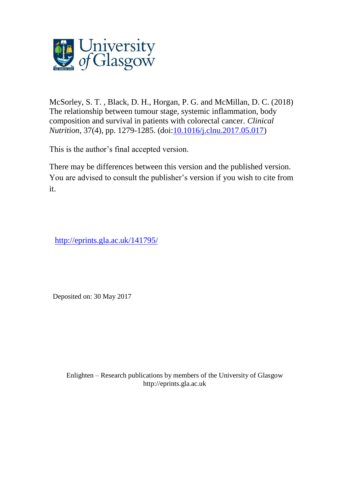

McSorley, S. T. , Black, D. H., Horgan, P. G. and McMillan, D. C. (2018) The relationship between tumour stage, systemic inflammation, body composition and survival in patients with colorectal cancer. *Clinical Nutrition*, 37(4), pp. 1279-1285. (doi[:10.1016/j.clnu.2017.05.017\)](http://dx.doi.org/10.1016/j.clnu.2017.05.017)

This is the author's final accepted version.

There may be differences between this version and the published version. You are advised to consult the publisher's version if you wish to cite from it.

<http://eprints.gla.ac.uk/141795/>

Deposited on: 30 May 2017

Enlighten – Research publications by members of the University of Glasgo[w](http://eprints.gla.ac.uk/) [http://eprints.gla.ac.uk](http://eprints.gla.ac.uk/)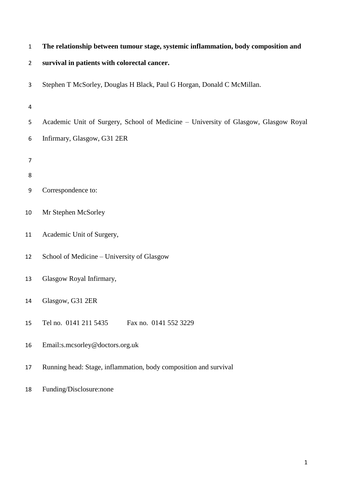|  |  |  |  |  |  | The relationship between tumour stage, systemic inflammation, body composition and |
|--|--|--|--|--|--|------------------------------------------------------------------------------------|
|--|--|--|--|--|--|------------------------------------------------------------------------------------|

### **survival in patients with colorectal cancer.**

Stephen T McSorley, Douglas H Black, Paul G Horgan, Donald C McMillan.

- Academic Unit of Surgery, School of Medicine University of Glasgow, Glasgow Royal
- Infirmary, Glasgow, G31 2ER
- 
- 
- Correspondence to:
- Mr Stephen McSorley
- Academic Unit of Surgery,
- School of Medicine University of Glasgow
- Glasgow Royal Infirmary,
- Glasgow, G31 2ER
- Tel no. 0141 211 5435 Fax no. 0141 552 3229
- Email:s.mcsorley@doctors.org.uk
- Running head: Stage, inflammation, body composition and survival
- Funding/Disclosure:none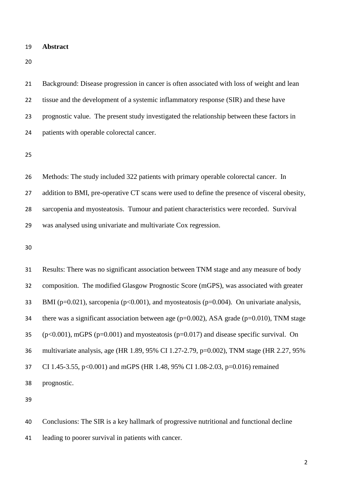**Abstract**

 Background: Disease progression in cancer is often associated with loss of weight and lean tissue and the development of a systemic inflammatory response (SIR) and these have prognostic value. The present study investigated the relationship between these factors in patients with operable colorectal cancer.

 Methods: The study included 322 patients with primary operable colorectal cancer. In 27 addition to BMI, pre-operative CT scans were used to define the presence of visceral obesity, sarcopenia and myosteatosis. Tumour and patient characteristics were recorded. Survival was analysed using univariate and multivariate Cox regression.

 Results: There was no significant association between TNM stage and any measure of body composition. The modified Glasgow Prognostic Score (mGPS), was associated with greater 33 BMI ( $p=0.021$ ), sarcopenia ( $p<0.001$ ), and myosteatosis ( $p=0.004$ ). On univariate analysis, 34 there was a significant association between age ( $p=0.002$ ), ASA grade ( $p=0.010$ ), TNM stage 35 ( $p<0.001$ ), mGPS ( $p=0.001$ ) and myosteatosis ( $p=0.017$ ) and disease specific survival. On multivariate analysis, age (HR 1.89, 95% CI 1.27-2.79, p=0.002), TNM stage (HR 2.27, 95% CI 1.45-3.55, p<0.001) and mGPS (HR 1.48, 95% CI 1.08-2.03, p=0.016) remained prognostic.

 Conclusions: The SIR is a key hallmark of progressive nutritional and functional decline leading to poorer survival in patients with cancer.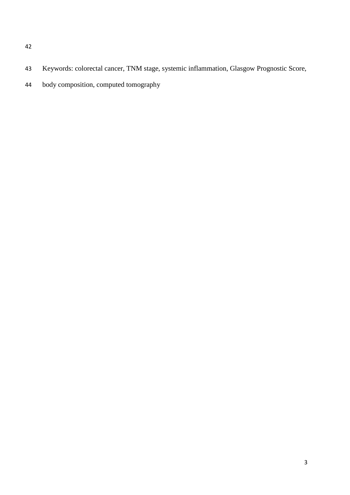- 
- Keywords: colorectal cancer, TNM stage, systemic inflammation, Glasgow Prognostic Score,
- body composition, computed tomography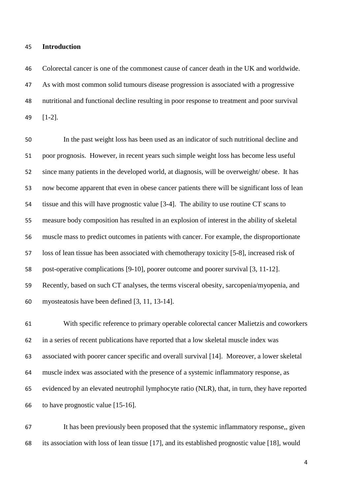#### **Introduction**

 Colorectal cancer is one of the commonest cause of cancer death in the UK and worldwide. As with most common solid tumours disease progression is associated with a progressive nutritional and functional decline resulting in poor response to treatment and poor survival [1-2].

 In the past weight loss has been used as an indicator of such nutritional decline and poor prognosis. However, in recent years such simple weight loss has become less useful since many patients in the developed world, at diagnosis, will be overweight/ obese. It has now become apparent that even in obese cancer patients there will be significant loss of lean tissue and this will have prognostic value [3-4]. The ability to use routine CT scans to measure body composition has resulted in an explosion of interest in the ability of skeletal muscle mass to predict outcomes in patients with cancer. For example, the disproportionate loss of lean tissue has been associated with chemotherapy toxicity [5-8], increased risk of post-operative complications [9-10], poorer outcome and poorer survival [3, 11-12]. Recently, based on such CT analyses, the terms visceral obesity, sarcopenia/myopenia, and myosteatosis have been defined [3, 11, 13-14].

 With specific reference to primary operable colorectal cancer Malietzis and coworkers in a series of recent publications have reported that a low skeletal muscle index was associated with poorer cancer specific and overall survival [14]. Moreover, a lower skeletal muscle index was associated with the presence of a systemic inflammatory response, as evidenced by an elevated neutrophil lymphocyte ratio (NLR), that, in turn, they have reported to have prognostic value [15-16].

 It has been previously been proposed that the systemic inflammatory response,, given its association with loss of lean tissue [17], and its established prognostic value [18], would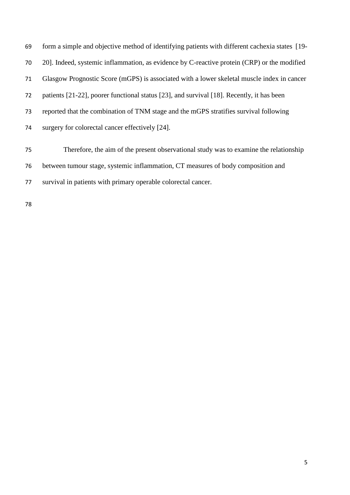form a simple and objective method of identifying patients with different cachexia states [19- 20]. Indeed, systemic inflammation, as evidence by C-reactive protein (CRP) or the modified Glasgow Prognostic Score (mGPS) is associated with a lower skeletal muscle index in cancer patients [21-22], poorer functional status [23], and survival [18]. Recently, it has been reported that the combination of TNM stage and the mGPS stratifies survival following surgery for colorectal cancer effectively [24]. Therefore, the aim of the present observational study was to examine the relationship between tumour stage, systemic inflammation, CT measures of body composition and

survival in patients with primary operable colorectal cancer.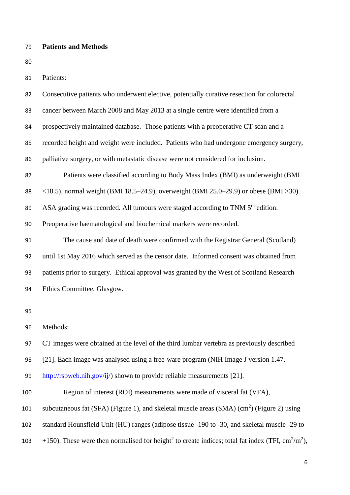### **Patients and Methods**

| I<br>۰.<br>×<br>۰.<br>v | I<br>ł<br>×<br>۰. |
|-------------------------|-------------------|
|                         |                   |

Patients:

| 82 | Consecutive patients who underwent elective, potentially curative resection for colorectal              |
|----|---------------------------------------------------------------------------------------------------------|
| 83 | cancer between March 2008 and May 2013 at a single centre were identified from a                        |
| 84 | prospectively maintained database. Those patients with a preoperative CT scan and a                     |
| 85 | recorded height and weight were included. Patients who had undergone emergency surgery,                 |
| 86 | palliative surgery, or with metastatic disease were not considered for inclusion.                       |
| 87 | Patients were classified according to Body Mass Index (BMI) as underweight (BMI                         |
| 88 | $\langle 18.5 \rangle$ , normal weight (BMI 18.5–24.9), overweight (BMI 25.0–29.9) or obese (BMI > 30). |
| 89 | ASA grading was recorded. All tumours were staged according to TNM 5 <sup>th</sup> edition.             |
| 90 | Preoperative haematological and biochemical markers were recorded.                                      |
| 91 | The cause and date of death were confirmed with the Registrar General (Scotland)                        |
| 92 | until 1st May 2016 which served as the censor date. Informed consent was obtained from                  |
| 93 | patients prior to surgery. Ethical approval was granted by the West of Scotland Research                |
| 94 | Ethics Committee, Glasgow.                                                                              |
| 95 |                                                                                                         |
| 96 | Methods:                                                                                                |
| 97 | CT images were obtained at the level of the third lumbar vertebra as previously described               |
| 98 | [21]. Each image was analysed using a free-ware program (NIH Image J version 1.47,                      |

[http://rsbweb.nih.gov/ij/\)](http://rsbweb.nih.gov/ij/) shown to provide reliable measurements [21].

- Region of interest (ROI) measurements were made of visceral fat (VFA),
- 101 subcutaneous fat (SFA) (Figure 1), and skeletal muscle areas (SMA)  $(cm<sup>2</sup>)$  (Figure 2) using
- standard Hounsfield Unit (HU) ranges (adipose tissue -190 to -30, and skeletal muscle -29 to
- 103 +150). These were then normalised for height<sup>2</sup> to create indices; total fat index (TFI, cm<sup>2</sup>/m<sup>2</sup>),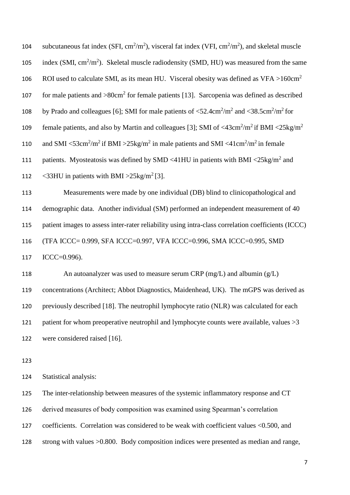| 104 | subcutaneous fat index (SFI, $\text{cm}^2/\text{m}^2$ ), visceral fat index (VFI, $\text{cm}^2/\text{m}^2$ ), and skeletal muscle            |
|-----|----------------------------------------------------------------------------------------------------------------------------------------------|
| 105 | index (SMI, $\text{cm}^2/\text{m}^2$ ). Skeletal muscle radiodensity (SMD, HU) was measured from the same                                    |
| 106 | ROI used to calculate SMI, as its mean HU. Visceral obesity was defined as $VFA > 160 \text{cm}^2$                                           |
| 107 | for male patients and $>80 \text{cm}^2$ for female patients [13]. Sarcopenia was defined as described                                        |
| 108 | by Prado and colleagues [6]; SMI for male patients of $\langle 52.4 \text{cm}^2/\text{m}^2$ and $\langle 38.5 \text{cm}^2/\text{m}^2$ for    |
| 109 | female patients, and also by Martin and colleagues [3]; SMI of $\langle 43 \text{cm}^2/\text{m}^2$ if BMI $\langle 25 \text{kg/m}^2$         |
| 110 | and SMI <53cm <sup>2</sup> /m <sup>2</sup> if BMI >25kg/m <sup>2</sup> in male patients and SMI <41cm <sup>2</sup> /m <sup>2</sup> in female |
| 111 | patients. Myosteatosis was defined by SMD <41HU in patients with BMI <25kg/m <sup>2</sup> and                                                |
| 112 | <33HU in patients with BMI > $25\text{kg/m}^2$ [3].                                                                                          |
| 113 | Measurements were made by one individual (DB) blind to clinicopathological and                                                               |
| 114 | demographic data. Another individual (SM) performed an independent measurement of 40                                                         |
| 115 | patient images to assess inter-rater reliability using intra-class correlation coefficients (ICCC)                                           |
| 116 | (TFA ICCC= 0.999, SFA ICCC=0.997, VFA ICCC=0.996, SMA ICCC=0.995, SMD                                                                        |
| 117 | $ICC=0.996$ ).                                                                                                                               |
| 118 | An autoanalyzer was used to measure serum CRP ( $mg/L$ ) and albumin ( $g/L$ )                                                               |
| 119 | concentrations (Architect; Abbot Diagnostics, Maidenhead, UK). The mGPS was derived as                                                       |
| 120 | previously described [18]. The neutrophil lymphocyte ratio (NLR) was calculated for each                                                     |
| 121 | patient for whom preoperative neutrophil and lymphocyte counts were available, values $>3$                                                   |
| 122 | were considered raised [16].                                                                                                                 |
| 123 |                                                                                                                                              |
| 124 | Statistical analysis:                                                                                                                        |

 The inter-relationship between measures of the systemic inflammatory response and CT derived measures of body composition was examined using Spearman's correlation coefficients. Correlation was considered to be weak with coefficient values <0.500, and strong with values >0.800. Body composition indices were presented as median and range,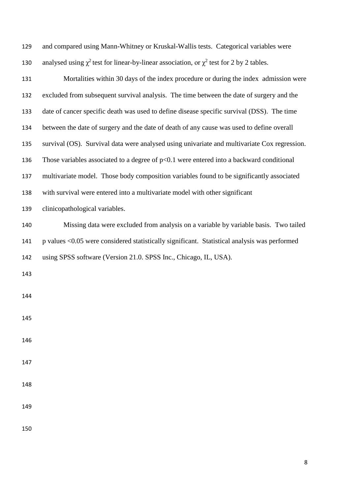| 129 | and compared using Mann-Whitney or Kruskal-Wallis tests. Categorical variables were                |
|-----|----------------------------------------------------------------------------------------------------|
| 130 | analysed using $\chi^2$ test for linear-by-linear association, or $\chi^2$ test for 2 by 2 tables. |
| 131 | Mortalities within 30 days of the index procedure or during the index admission were               |
| 132 | excluded from subsequent survival analysis. The time between the date of surgery and the           |
| 133 | date of cancer specific death was used to define disease specific survival (DSS). The time         |
| 134 | between the date of surgery and the date of death of any cause was used to define overall          |
| 135 | survival (OS). Survival data were analysed using univariate and multivariate Cox regression.       |
| 136 | Those variables associated to a degree of $p<0.1$ were entered into a backward conditional         |
| 137 | multivariate model. Those body composition variables found to be significantly associated          |
| 138 | with survival were entered into a multivariate model with other significant                        |
| 139 | clinicopathological variables.                                                                     |
| 140 | Missing data were excluded from analysis on a variable by variable basis. Two tailed               |
| 141 | p values <0.05 were considered statistically significant. Statistical analysis was performed       |
| 142 | using SPSS software (Version 21.0. SPSS Inc., Chicago, IL, USA).                                   |
| 143 |                                                                                                    |
| 144 |                                                                                                    |
| 145 |                                                                                                    |
| 146 |                                                                                                    |
| 147 |                                                                                                    |
| 148 |                                                                                                    |
| 149 |                                                                                                    |
| 150 |                                                                                                    |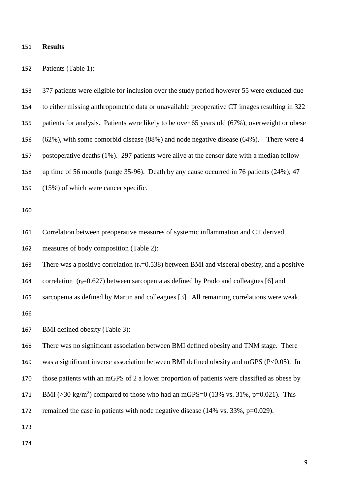#### **Results**

Patients (Table 1):

 377 patients were eligible for inclusion over the study period however 55 were excluded due to either missing anthropometric data or unavailable preoperative CT images resulting in 322 patients for analysis. Patients were likely to be over 65 years old (67%), overweight or obese (62%), with some comorbid disease (88%) and node negative disease (64%). There were 4 postoperative deaths (1%). 297 patients were alive at the censor date with a median follow up time of 56 months (range 35-96). Death by any cause occurred in 76 patients (24%); 47 (15%) of which were cancer specific.

 Correlation between preoperative measures of systemic inflammation and CT derived measures of body composition (Table 2):

163 There was a positive correlation  $(r_s=0.538)$  between BMI and visceral obesity, and a positive

164 correlation  $(r_s=0.627)$  between sarcopenia as defined by Prado and colleagues [6] and

sarcopenia as defined by Martin and colleagues [3]. All remaining correlations were weak.

BMI defined obesity (Table 3):

 There was no significant association between BMI defined obesity and TNM stage. There was a significant inverse association between BMI defined obesity and mGPS (P<0.05). In those patients with an mGPS of 2 a lower proportion of patients were classified as obese by 171 BMI ( $>$ 30 kg/m<sup>2</sup>) compared to those who had an mGPS=0 (13% vs. 31%, p=0.021). This 172 remained the case in patients with node negative disease (14% vs. 33%, p=0.029).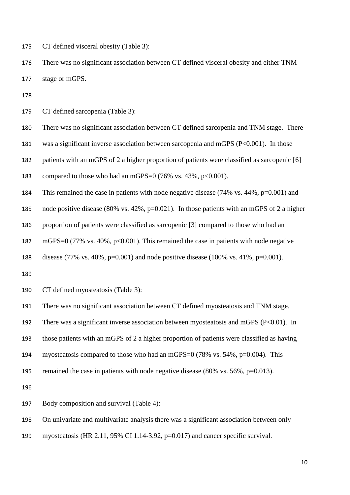CT defined visceral obesity (Table 3):

 There was no significant association between CT defined visceral obesity and either TNM stage or mGPS.

CT defined sarcopenia (Table 3):

There was no significant association between CT defined sarcopenia and TNM stage. There

was a significant inverse association between sarcopenia and mGPS (P<0.001). In those

patients with an mGPS of 2 a higher proportion of patients were classified as sarcopenic [6]

183 compared to those who had an mGPS=0 (76% vs. 43%,  $p<0.001$ ).

This remained the case in patients with node negative disease (74% vs. 44%, p=0.001) and

node positive disease (80% vs. 42%, p=0.021). In those patients with an mGPS of 2 a higher

proportion of patients were classified as sarcopenic [3] compared to those who had an

187 mGPS=0 (77% vs. 40%, p<0.001). This remained the case in patients with node negative

disease (77% vs. 40%, p=0.001) and node positive disease (100% vs. 41%, p=0.001).

CT defined myosteatosis (Table 3):

There was no significant association between CT defined myosteatosis and TNM stage.

192 There was a significant inverse association between myosteatosis and mGPS (P<0.01). In

those patients with an mGPS of 2 a higher proportion of patients were classified as having

myosteatosis compared to those who had an mGPS=0 (78% vs. 54%, p=0.004). This

remained the case in patients with node negative disease (80% vs. 56%, p=0.013).

Body composition and survival (Table 4):

On univariate and multivariate analysis there was a significant association between only

myosteatosis (HR 2.11, 95% CI 1.14-3.92, p=0.017) and cancer specific survival.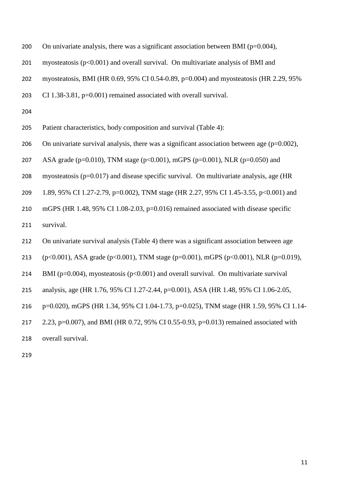- 200 On univariate analysis, there was a significant association between BMI ( $p=0.004$ ),
- myosteatosis (p<0.001) and overall survival. On multivariate analysis of BMI and
- myosteatosis, BMI (HR 0.69, 95% CI 0.54-0.89, p=0.004) and myosteatosis (HR 2.29, 95%
- CI 1.38-3.81, p=0.001) remained associated with overall survival.

- Patient characteristics, body composition and survival (Table 4):
- 206 On univariate survival analysis, there was a significant association between age  $(p=0.002)$ ,
- 207 ASA grade (p=0.010), TNM stage (p<0.001), mGPS (p=0.001), NLR (p=0.050) and
- myosteatosis (p=0.017) and disease specific survival. On multivariate analysis, age (HR
- 1.89, 95% CI 1.27-2.79, p=0.002), TNM stage (HR 2.27, 95% CI 1.45-3.55, p<0.001) and
- mGPS (HR 1.48, 95% CI 1.08-2.03, p=0.016) remained associated with disease specific
- survival.
- On univariate survival analysis (Table 4) there was a significant association between age
- (p<0.001), ASA grade (p<0.001), TNM stage (p=0.001), mGPS (p<0.001), NLR (p=0.019),
- 214 BMI ( $p=0.004$ ), myosteatosis ( $p<0.001$ ) and overall survival. On multivariate survival
- analysis, age (HR 1.76, 95% CI 1.27-2.44, p=0.001), ASA (HR 1.48, 95% CI 1.06-2.05,
- p=0.020), mGPS (HR 1.34, 95% CI 1.04-1.73, p=0.025), TNM stage (HR 1.59, 95% CI 1.14-
- 2.23, p=0.007), and BMI (HR 0.72, 95% CI 0.55-0.93, p=0.013) remained associated with
- overall survival.
-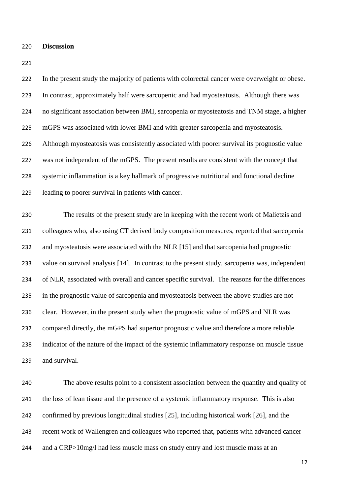#### **Discussion**

 In the present study the majority of patients with colorectal cancer were overweight or obese. In contrast, approximately half were sarcopenic and had myosteatosis. Although there was no significant association between BMI, sarcopenia or myosteatosis and TNM stage, a higher mGPS was associated with lower BMI and with greater sarcopenia and myosteatosis. Although myosteatosis was consistently associated with poorer survival its prognostic value was not independent of the mGPS. The present results are consistent with the concept that systemic inflammation is a key hallmark of progressive nutritional and functional decline leading to poorer survival in patients with cancer. The results of the present study are in keeping with the recent work of Malietzis and colleagues who, also using CT derived body composition measures, reported that sarcopenia and myosteatosis were associated with the NLR [15] and that sarcopenia had prognostic value on survival analysis [14]. In contrast to the present study, sarcopenia was, independent of NLR, associated with overall and cancer specific survival. The reasons for the differences in the prognostic value of sarcopenia and myosteatosis between the above studies are not clear. However, in the present study when the prognostic value of mGPS and NLR was compared directly, the mGPS had superior prognostic value and therefore a more reliable indicator of the nature of the impact of the systemic inflammatory response on muscle tissue and survival.

 The above results point to a consistent association between the quantity and quality of the loss of lean tissue and the presence of a systemic inflammatory response. This is also confirmed by previous longitudinal studies [25], including historical work [26], and the recent work of Wallengren and colleagues who reported that, patients with advanced cancer 244 and a CRP>10mg/l had less muscle mass on study entry and lost muscle mass at an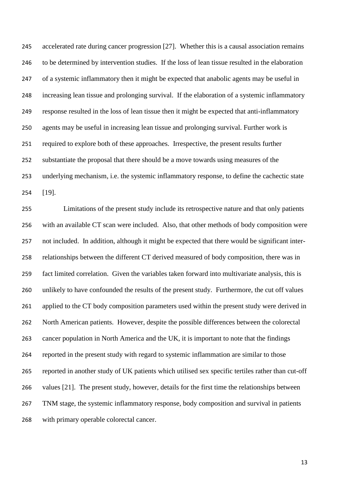accelerated rate during cancer progression [27]. Whether this is a causal association remains 246 to be determined by intervention studies. If the loss of lean tissue resulted in the elaboration of a systemic inflammatory then it might be expected that anabolic agents may be useful in increasing lean tissue and prolonging survival. If the elaboration of a systemic inflammatory response resulted in the loss of lean tissue then it might be expected that anti-inflammatory agents may be useful in increasing lean tissue and prolonging survival. Further work is required to explore both of these approaches. Irrespective, the present results further substantiate the proposal that there should be a move towards using measures of the underlying mechanism, i.e. the systemic inflammatory response, to define the cachectic state [19].

 Limitations of the present study include its retrospective nature and that only patients with an available CT scan were included. Also, that other methods of body composition were not included. In addition, although it might be expected that there would be significant inter- relationships between the different CT derived measured of body composition, there was in fact limited correlation. Given the variables taken forward into multivariate analysis, this is unlikely to have confounded the results of the present study. Furthermore, the cut off values applied to the CT body composition parameters used within the present study were derived in North American patients. However, despite the possible differences between the colorectal cancer population in North America and the UK, it is important to note that the findings reported in the present study with regard to systemic inflammation are similar to those reported in another study of UK patients which utilised sex specific tertiles rather than cut-off values [21]. The present study, however, details for the first time the relationships between TNM stage, the systemic inflammatory response, body composition and survival in patients with primary operable colorectal cancer.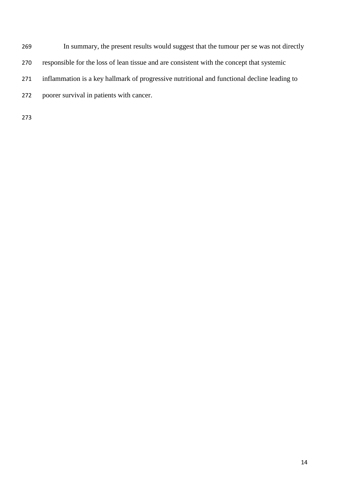In summary, the present results would suggest that the tumour per se was not directly responsible for the loss of lean tissue and are consistent with the concept that systemic inflammation is a key hallmark of progressive nutritional and functional decline leading to poorer survival in patients with cancer.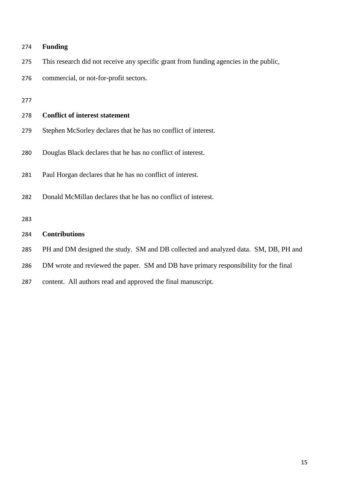# **Funding**

- This research did not receive any specific grant from funding agencies in the public,
- commercial, or not-for-profit sectors.

# **Conflict of interest statement**

- Stephen McSorley declares that he has no conflict of interest.
- Douglas Black declares that he has no conflict of interest.
- Paul Horgan declares that he has no conflict of interest.
- Donald McMillan declares that he has no conflict of interest.

# **Contributions**

- PH and DM designed the study. SM and DB collected and analyzed data. SM, DB, PH and
- DM wrote and reviewed the paper. SM and DB have primary responsibility for the final
- content. All authors read and approved the final manuscript.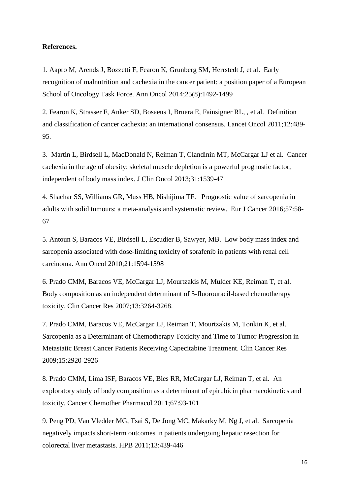### **References.**

1. Aapro M, Arends J, Bozzetti F, Fearon K, Grunberg SM, Herrstedt J, et al. Early recognition of malnutrition and cachexia in the cancer patient: a position paper of a European School of Oncology Task Force. Ann Oncol 2014;25(8):1492-1499

2. Fearon K, Strasser F, Anker SD, Bosaeus I, Bruera E, Fainsigner RL, , et al. Definition and classification of cancer cachexia: an international consensus. Lancet Oncol 2011;12:489- 95.

3. Martin L, Birdsell L, MacDonald N, Reiman T, Clandinin MT, McCargar LJ et al. Cancer cachexia in the age of obesity: skeletal muscle depletion is a powerful prognostic factor, independent of body mass index. J Clin Oncol 2013;31:1539-47

4. Shachar SS, Williams GR, Muss HB, Nishijima TF. Prognostic value of sarcopenia in adults with solid tumours: a meta-analysis and systematic review. Eur J Cancer 2016;57:58- 67

5. Antoun S, Baracos VE, Birdsell L, Escudier B, Sawyer, MB. Low body mass index and sarcopenia associated with dose-limiting toxicity of sorafenib in patients with renal cell carcinoma. Ann Oncol 2010;21:1594-1598

6. Prado CMM, Baracos VE, McCargar LJ, Mourtzakis M, Mulder KE, Reiman T, et al. Body composition as an independent determinant of 5-fluorouracil-based chemotherapy toxicity. Clin Cancer Res 2007;13:3264-3268.

7. Prado CMM, Baracos VE, McCargar LJ, Reiman T, Mourtzakis M, Tonkin K, et al. Sarcopenia as a Determinant of Chemotherapy Toxicity and Time to Tumor Progression in Metastatic Breast Cancer Patients Receiving Capecitabine Treatment. Clin Cancer Res 2009;15:2920-2926

8. Prado CMM, Lima ISF, Baracos VE, Bies RR, McCargar LJ, Reiman T, et al. An exploratory study of body composition as a determinant of epirubicin pharmacokinetics and toxicity. Cancer Chemother Pharmacol 2011;67:93-101

9. Peng PD, Van Vledder MG, Tsai S, De Jong MC, Makarky M, Ng J, et al. Sarcopenia negatively impacts short-term outcomes in patients undergoing hepatic resection for colorectal liver metastasis. HPB 2011;13:439-446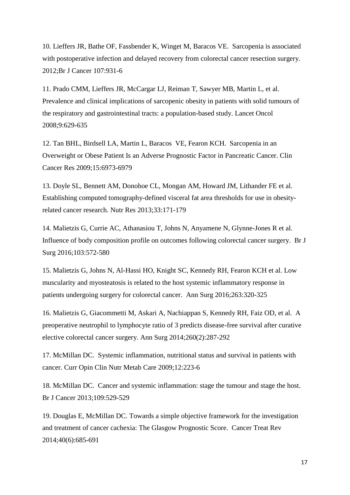10. Lieffers JR, Bathe OF, Fassbender K, Winget M, Baracos VE. Sarcopenia is associated with postoperative infection and delayed recovery from colorectal cancer resection surgery. 2012;Br J Cancer 107:931-6

11. Prado CMM, Lieffers JR, McCargar LJ, Reiman T, Sawyer MB, Martin L, et al. Prevalence and clinical implications of sarcopenic obesity in patients with solid tumours of the respiratory and gastrointestinal tracts: a population-based study. Lancet Oncol 2008;9:629-635

12. Tan BHL, Birdsell LA, Martin L, Baracos VE, Fearon KCH. Sarcopenia in an Overweight or Obese Patient Is an Adverse Prognostic Factor in Pancreatic Cancer. Clin Cancer Res 2009;15:6973-6979

13. Doyle SL, Bennett AM, Donohoe CL, Mongan AM, Howard JM, Lithander FE et al. Establishing computed tomography-defined visceral fat area thresholds for use in obesityrelated cancer research. Nutr Res 2013;33:171-179

14. Malietzis G, Currie AC, Athanasiou T, Johns N, Anyamene N, Glynne-Jones R et al. Influence of body composition profile on outcomes following colorectal cancer surgery. Br J Surg 2016;103:572-580

15. Malietzis G, Johns N, Al-Hassi HO, Knight SC, Kennedy RH, Fearon KCH et al. Low muscularity and myosteatosis is related to the host systemic inflammatory response in patients undergoing surgery for colorectal cancer. Ann Surg 2016;263:320-325

16. Malietzis G, Giacommetti M, Askari A, Nachiappan S, Kennedy RH, Faiz OD, et al. A preoperative neutrophil to lymphocyte ratio of 3 predicts disease-free survival after curative elective colorectal cancer surgery. Ann Surg 2014;260(2):287-292

17. McMillan DC. Systemic inflammation, nutritional status and survival in patients with cancer. Curr Opin Clin Nutr Metab Care 2009;12:223-6

18. McMillan DC. Cancer and systemic inflammation: stage the tumour and stage the host. Br J Cancer 2013;109:529-529

19. Douglas E, McMillan DC. Towards a simple objective framework for the investigation and treatment of cancer cachexia: The Glasgow Prognostic Score. Cancer Treat Rev 2014;40(6):685-691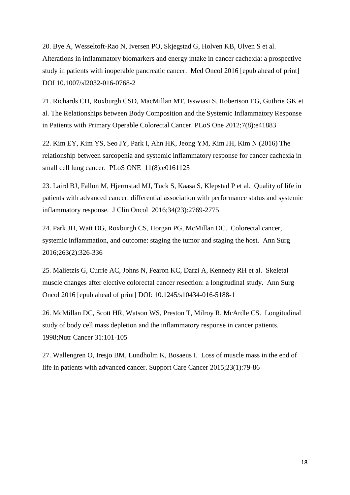20. Bye A, Wesseltoft-Rao N, Iversen PO, Skjegstad G, Holven KB, Ulven S et al. Alterations in inflammatory biomarkers and energy intake in cancer cachexia: a prospective study in patients with inoperable pancreatic cancer. Med Oncol 2016 [epub ahead of print] DOI 10.1007/sl2032-016-0768-2

21. Richards CH, Roxburgh CSD, MacMillan MT, Isswiasi S, Robertson EG, Guthrie GK et al. The Relationships between Body Composition and the Systemic Inflammatory Response in Patients with Primary Operable Colorectal Cancer. PLoS One 2012;7(8):e41883

22. Kim EY, Kim YS, Seo JY, Park I, Ahn HK, Jeong YM, Kim JH, Kim N (2016) The relationship between sarcopenia and systemic inflammatory response for cancer cachexia in small cell lung cancer. PLoS ONE 11(8):e0161125

23. Laird BJ, Fallon M, Hjermstad MJ, Tuck S, Kaasa S, Klepstad P et al. Quality of life in patients with advanced cancer: differential association with performance status and systemic inflammatory response. J Clin Oncol 2016;34(23):2769-2775

24. Park JH, Watt DG, Roxburgh CS, Horgan PG, McMillan DC. Colorectal cancer, systemic inflammation, and outcome: staging the tumor and staging the host. Ann Surg 2016;263(2):326-336

25. Malietzis G, Currie AC, Johns N, Fearon KC, Darzi A, Kennedy RH et al. Skeletal muscle changes after elective colorectal cancer resection: a longitudinal study. Ann Surg Oncol 2016 [epub ahead of print] DOI: 10.1245/s10434-016-5188-1

26. McMillan DC, Scott HR, Watson WS, Preston T, Milroy R, McArdle CS. Longitudinal study of body cell mass depletion and the inflammatory response in cancer patients. 1998;Nutr Cancer 31:101-105

27. Wallengren O, Iresjo BM, Lundholm K, Bosaeus I. Loss of muscle mass in the end of life in patients with advanced cancer. Support Care Cancer 2015;23(1):79-86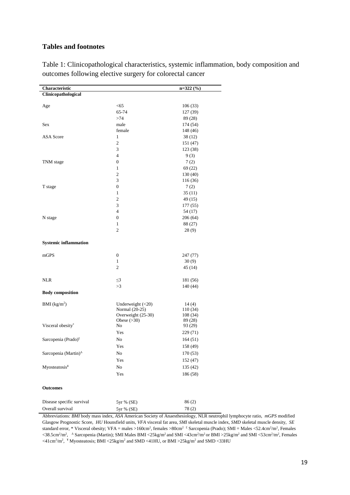# **Tables and footnotes**

| Characteristic                                        |                                     | $n=322(%)$          |
|-------------------------------------------------------|-------------------------------------|---------------------|
| Clinicopathological                                   |                                     |                     |
|                                                       |                                     |                     |
| Age                                                   | $<$ 65                              | 106 (33)            |
|                                                       | 65-74                               | 127 (39)            |
|                                                       | >74                                 | 89 (28)             |
| Sex                                                   | male                                | 174 (54)            |
|                                                       | female                              | 148 (46)            |
| <b>ASA</b> Score                                      | $\mathbf{1}$                        | 38 (12)             |
|                                                       | $\overline{c}$                      | 151 (47)            |
|                                                       | 3                                   | 123 (38)            |
|                                                       | $\overline{4}$                      | 9(3)                |
| TNM stage                                             | $\boldsymbol{0}$                    | 7(2)                |
|                                                       | $\mathbf{1}$                        | 69 (22)             |
|                                                       | $\mathbf{2}$                        | 130 (40)            |
|                                                       | 3                                   | 116 (36)            |
| T stage                                               | $\boldsymbol{0}$                    | 7(2)                |
|                                                       | $\mathbf{1}$                        | 35(11)              |
|                                                       | $\mathbf{2}$                        | 49 (15)             |
|                                                       | 3                                   | 177 (55)            |
|                                                       | 4                                   | 54 (17)             |
| N stage                                               | $\boldsymbol{0}$                    | 206(64)             |
|                                                       | $\mathbf{1}$                        | 88 (27)             |
|                                                       | $\overline{c}$                      | 28(9)               |
|                                                       |                                     |                     |
| <b>Systemic inflammation</b>                          |                                     |                     |
| mGPS                                                  | $\boldsymbol{0}$                    | 247 (77)            |
|                                                       | $\mathbf{1}$                        | 30(9)               |
|                                                       | $\mathfrak{2}$                      | 45(14)              |
|                                                       |                                     |                     |
| <b>NLR</b>                                            | $\leq$ 3                            | 181 (56)            |
|                                                       | >3                                  | 140 (44)            |
| <b>Body composition</b>                               |                                     |                     |
|                                                       |                                     |                     |
| BMI (kg/m <sup>2</sup> )                              | Underweight $(<20)$                 | 14(4)               |
|                                                       | Normal (20-25)                      | 110 (34)            |
|                                                       | Overweight (25-30)<br>Obese $(>30)$ | 108 (34)<br>89 (28) |
| Visceral obesity*                                     | No                                  | 93 (29)             |
|                                                       | Yes                                 | 229 (71)            |
|                                                       |                                     |                     |
| Sarcopenia (Prado) <sup>£</sup>                       | No                                  | 164 (51)            |
|                                                       | Yes                                 | 158 (49)            |
| Sarcopenia (Martin) <sup><math>\triangle</math></sup> | No                                  | 170(53)             |
|                                                       | Yes                                 | 152 (47)            |
| Myosteatosis¥                                         | $\rm No$                            | 135 (42)            |
|                                                       | Yes                                 | 186 (58)            |
| <b>Outcomes</b>                                       |                                     |                     |
|                                                       |                                     |                     |
| Disease specific survival                             | 5yr % (SE)                          | 86(2)               |
| Overall survival                                      | 5yr % (SE)                          | 78(2)               |

Table 1: Clinicopathological characteristics, systemic inflammation, body composition and outcomes following elective surgery for colorectal cancer

Abbreviations: *BMI* body mass index, *ASA* American Society of Anaesthesiology, NLR neutrophil lymphocyte ratio, *mGPS* modified Glasgow Prognostic Score, *HU* Hounsfield units, *VFA* visceral fat area, *SMI* skeletal muscle index, *SMD* skeletal muscle density, *SE* standard error, \* Visceral obesity; VFA = males >160cm<sup>2</sup>, females >80cm<sup>2</sup>  $\epsilon$  Sarcopenia (Prado); SMI = Males <52.4cm<sup>2</sup>/m<sup>2</sup>, Females  $\langle 38.5 \text{cm}^2/\text{m}^2, \Delta^2 \text{S} \rangle$  Sarcopenia (Martin); SMI Males BMI  $\langle 25 \text{kg/m}^2 \text{ and SMI} \times 43 \text{cm}^2/\text{m}^2 \text{ or BMI} \rangle$  and SMI  $\langle 53 \text{cm}^2/\text{m}^2, \Delta^2 \text{S} \rangle$  Females  $\langle 41 \text{cm}^2/\text{m}^2$ ,  $*$  Myosteatosis; BMI  $\langle 25 \text{kg/m}^2$  and SMD  $\langle 41 \text{HU}$ , or BMI  $>$ 25kg/m<sup>2</sup> and SMD  $\langle 33 \text{HU}$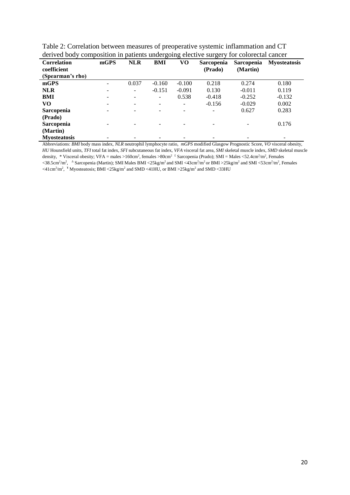| derived body composition in patients undergoing elective surgery for colorectal cancer |      |            |          |          |                   |                   |                     |  |
|----------------------------------------------------------------------------------------|------|------------|----------|----------|-------------------|-------------------|---------------------|--|
| <b>Correlation</b>                                                                     | mGPS | <b>NLR</b> | BMI      | VO       | <b>Sarcopenia</b> | <b>Sarcopenia</b> | <b>Myosteatosis</b> |  |
| coefficient                                                                            |      |            |          |          | (Prado)           | (Martin)          |                     |  |
| (Spearman's rho)                                                                       |      |            |          |          |                   |                   |                     |  |
| mGPS                                                                                   |      | 0.037      | $-0.160$ | $-0.100$ | 0.218             | 0.274             | 0.180               |  |
| <b>NLR</b>                                                                             |      |            | $-0.151$ | $-0.091$ | 0.130             | $-0.011$          | 0.119               |  |
| BMI                                                                                    |      |            | -        | 0.538    | $-0.418$          | $-0.252$          | $-0.132$            |  |
| VO                                                                                     |      |            |          |          | $-0.156$          | $-0.029$          | 0.002               |  |
| Sarcopenia                                                                             |      |            |          |          |                   | 0.627             | 0.283               |  |
| (Prado)                                                                                |      |            |          |          |                   |                   |                     |  |
| <b>Sarcopenia</b>                                                                      |      |            |          |          |                   |                   | 0.176               |  |
| (Martin)                                                                               |      |            |          |          |                   |                   |                     |  |
| <b>Myosteatosis</b>                                                                    |      |            |          |          |                   |                   |                     |  |

Table 2: Correlation between measures of preoperative systemic inflammation and CT derived body composition in patients undergoing elective surgery for colorectal cancer

Abbreviations: *BMI* body mass index, *NLR* neutrophil lymphocyte ratio, *mGPS* modified Glasgow Prognostic Score, *VO* visceral obesity, *HU* Hounsfield units, *TFI* total fat index, *SFI* subcutaneous fat index, *VFA* visceral fat area, *SMI* skeletal muscle index, *SMD* skeletal muscle density, \* Visceral obesity; VFA = males >160cm<sup>2</sup>, females >80cm<sup>2</sup>  $\frac{1}{2}$  Sarcopenia (Prado); SMI = Males <52.4cm<sup>2</sup>/m<sup>2</sup>, Females  $\langle 38.5 \text{cm}^2/\text{m}^2, \Delta^2 \text{S} \rangle$  are Comparison (Martin); SMI Males BMI  $\langle 25 \text{kg/m}^2 \text{ and SMI} \rangle$  and SMI  $\langle 25 \text{kg/m}^2 \text{ and SMI} \rangle$ . Females  $\langle 41 \text{cm}^2/\text{m}^2$ ,  $\rm{H}$  Myosteatosis; BMI  $\langle 25 \text{kg/m}^2$  and SMD  $\langle 41 \text{HU}$ , or BMI  $>$ 25kg/m<sup>2</sup> and SMD  $\langle 33 \text{HU}$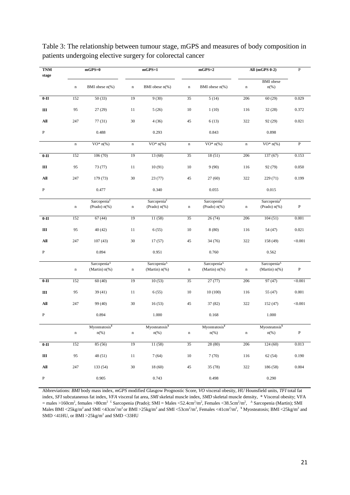| <b>TNM</b>     | $mGPS=0$    |                                                         |             | $mGPS=1$                                                                    | $mGPS=2$    |                                                        | All (mGPS 0-2) | $\overline{\mathbf{P}}$                                                     |                |
|----------------|-------------|---------------------------------------------------------|-------------|-----------------------------------------------------------------------------|-------------|--------------------------------------------------------|----------------|-----------------------------------------------------------------------------|----------------|
| stage          | $\mathbf n$ | BMI obese $n$ (%)                                       | $\mathbf n$ | BMI obese $n$ (%)                                                           | $\mathbf n$ | BMI obese $n$ (%)                                      | $\mathbf n$    | <b>BMI</b> obese<br>$n$ (%)                                                 |                |
| $0-II$         | 152         | 50(33)                                                  | 19          | 9(30)                                                                       | 35          | 5(14)                                                  | 206            | 60(29)                                                                      | 0.029          |
| $\rm III$      | 95          | 27(29)                                                  | 11          | 5(26)                                                                       | $10\,$      | 1(10)                                                  | 116            | 32(28)                                                                      | 0.372          |
| All            | 247         | 77(31)                                                  | 30          | 4(36)                                                                       | 45          | 6(13)                                                  | 322            | 92 (29)                                                                     | 0.021          |
| $\, {\bf P}$   |             | 0.488                                                   |             | 0.293                                                                       |             | 0.843                                                  |                | 0.898                                                                       |                |
|                | $\mathbf n$ | VO* $n$ <sup>(%)</sup>                                  | $\mathbf n$ | $VO* n$ (%)                                                                 | $\mathbf n$ | $VO* n$ (%)                                            | $\mathbf n$    | $VO* n$ (%)                                                                 | $\overline{P}$ |
| $0-II$         | 152         | 106(70)                                                 | 19          | 13(68)                                                                      | 35          | 18(51)                                                 | 206            | 137(67)                                                                     | 0.153          |
| $\rm III$      | 95          | 73 (77)                                                 | 11          | 10(91)                                                                      | $10\,$      | 9(90)                                                  | 116            | 92 (79)                                                                     | 0.050          |
| All            | 247         | 179 (73)                                                | $30\,$      | 23(77)                                                                      | 45          | 27(60)                                                 | 322            | 229 (71)                                                                    | 0.199          |
| P              |             | 0.477                                                   |             | 0.340                                                                       |             | 0.055                                                  |                | 0.015                                                                       |                |
|                | $\mathbf n$ | Sarcopenia <sup><math>t</math></sup><br>(Prado) $n$ (%) | $\mathbf n$ | Sarcopenia $^{\epsilon}$<br>(Prado) $n$ <sup>(%)</sup>                      | $\mathbf n$ | Sarcopenia $^{\epsilon}$<br>(Prado) $n$ <sup>(%)</sup> | $\mathbf n$    | Sarcopenia $^{\epsilon}$<br>(Prado) $n$ <sup>(%)</sup>                      | $\, {\bf P}$   |
| $0-II$         | 152         | 67(44)                                                  | 19          | 11 (58)                                                                     | 35          | 26(74)                                                 | 206            | 104(51)                                                                     | 0.001          |
| $\rm III$      | 95          | 40 (42)                                                 | $11\,$      | 6(55)                                                                       | $10\,$      | 8(80)                                                  | 116            | 54 (47)                                                                     | 0.021          |
| All            | 247         | 107(43)                                                 | 30          | 17(57)                                                                      | 45          | 34 (76)                                                | 322            | 158 (49)                                                                    | $<\!\!0.001$   |
| $\, {\bf P}$   |             | 0.894                                                   |             | 0.951                                                                       |             | 0.760                                                  |                | 0.562                                                                       |                |
|                | $\mathbf n$ | Sarcopenia <sup>4</sup><br>(Martin) $n$ <sup>(%)</sup>  | $\mathbf n$ | Sarcopenia <sup><math>\triangle</math></sup><br>(Martin) $n$ <sup>(%)</sup> | $\mathbf n$ | Sarcopenia <sup>4</sup><br>(Martin) $n$ (%)            | $\mathbf n$    | Sarcopenia <sup><math>\triangle</math></sup><br>(Martin) $n$ <sup>(%)</sup> | $\, {\bf P}$   |
| $0-II$         | 152         | 60(40)                                                  | 19          | 10(53)                                                                      | 35          | 27(77)                                                 | 206            | 97 (47)                                                                     | < 0.001        |
| Ш              | 95          | 39(41)                                                  | 11          | 6(55)                                                                       | $10\,$      | 10(100)                                                | 116            | 55 (47)                                                                     | $0.001\,$      |
| $\mathbf{All}$ | 247         | 99 (40)                                                 | 30          | 16(53)                                                                      | 45          | 37 (82)                                                | 322            | 152 (47)                                                                    | $<\!\!0.001$   |
| $\, {\bf P}$   |             | 0.894                                                   |             | 1.000                                                                       |             | 0.168                                                  |                | 1.000                                                                       |                |
|                | $\mathbf n$ | Myosteatosis¥<br>$n$ <sup>(%)</sup>                     | $\mathbf n$ | Myosteatosis <sup>¥</sup><br>$n$ <sup>(%)</sup>                             | $\mathbf n$ | Myosteatosis <sup>y</sup><br>$n$ <sup>(%)</sup>        | $\mathbf n$    | Myosteatosis¥<br>$n$ (%)                                                    | $\, {\bf P}$   |
| $0-II$         | 152         | 85(56)                                                  | 19          | 11(58)                                                                      | 35          | 28(80)                                                 | 206            | 124(60)                                                                     | 0.013          |
| Ш              | 95          | 48 (51)                                                 | $11\,$      | 7(64)                                                                       | $10\,$      | 7(70)                                                  | 116            | 62(54)                                                                      | 0.190          |
| $\mathbf{All}$ | 247         | 133 (54)                                                | $30\,$      | 18(60)                                                                      | $45\,$      | 35(78)                                                 | 322            | 186 (58)                                                                    | 0.004          |
| $\, {\bf P}$   |             | 0.905                                                   |             | 0.743                                                                       |             | 0.498                                                  |                | 0.290                                                                       |                |

Table 3: The relationship between tumour stage, mGPS and measures of body composition in patients undergoing elective surgery for colorectal cancer

Abbreviations: *BMI* body mass index, *mGPS* modified Glasgow Prognostic Score, *VO* visceral obesity, *HU* Hounsfield units, *TFI* total fat index, *SFI* subcutaneous fat index, *VFA* visceral fat area, *SMI* skeletal muscle index, *SMD* skeletal muscle density, \* Visceral obesity; VFA = males >160cm<sup>2</sup>, females >80cm<sup>2</sup> ± Sarcopenia (Prado); SMI = Males <52.4cm<sup>2</sup>/m<sup>2</sup>, Females <38.5cm<sup>2</sup>/m<sup>2</sup>,  $\triangleq$  Sarcopenia (Martin); SMI Males BMI <25kg/m<sup>2</sup> and SMI <43cm<sup>2</sup>/m<sup>2</sup> or BMI >25kg/m<sup>2</sup> and SMI <53cm<sup>2</sup>/m<sup>2</sup>, Females <41cm<sup>2</sup>/m<sup>2</sup>, <sup>¥</sup> Myosteatosis; BMI <25kg/m<sup>2</sup> and SMD <41HU, or BMI >25kg/m<sup>2</sup> and SMD <33HU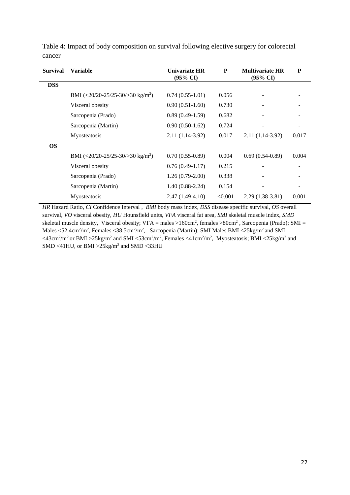| <b>Survival</b> | <b>Variable</b>                                | <b>Univariate HR</b><br>$(95\% \text{ CI})$ | P       | <b>Multivariate HR</b><br>$(95\% \text{ CI})$ | ${\bf P}$ |
|-----------------|------------------------------------------------|---------------------------------------------|---------|-----------------------------------------------|-----------|
| <b>DSS</b>      |                                                |                                             |         |                                               |           |
|                 | BMI $(<20/20-25/25-30)>30$ kg/m <sup>2</sup> ) | $0.74(0.55-1.01)$                           | 0.056   |                                               |           |
|                 | Visceral obesity                               | $0.90(0.51-1.60)$                           | 0.730   |                                               |           |
|                 | Sarcopenia (Prado)                             | $0.89(0.49-1.59)$                           | 0.682   |                                               |           |
|                 | Sarcopenia (Martin)                            | $0.90(0.50-1.62)$                           | 0.724   |                                               |           |
|                 | Myosteatosis                                   | $2.11(1.14-3.92)$                           | 0.017   | $2.11(1.14-3.92)$                             | 0.017     |
| <b>OS</b>       |                                                |                                             |         |                                               |           |
|                 | BMI $(<20/20-25/25-30)>30$ kg/m <sup>2</sup> ) | $0.70(0.55-0.89)$                           | 0.004   | $0.69(0.54-0.89)$                             | 0.004     |
|                 | Visceral obesity                               | $0.76(0.49-1.17)$                           | 0.215   |                                               |           |
|                 | Sarcopenia (Prado)                             | $1.26(0.79-2.00)$                           | 0.338   |                                               |           |
|                 | Sarcopenia (Martin)                            | $1.40(0.88-2.24)$                           | 0.154   |                                               |           |
|                 | Myosteatosis                                   | $2.47(1.49-4.10)$                           | < 0.001 | $2.29(1.38-3.81)$                             | 0.001     |

Table 4: Impact of body composition on survival following elective surgery for colorectal cancer

*HR* Hazard Ratio, *CI* Confidence Interval , *BMI* body mass index, *DSS* disease specific survival, *OS* overall survival, *VO* visceral obesity, *HU* Hounsfield units, *VFA* visceral fat area, *SMI* skeletal muscle index, *SMD* skeletal muscle density, Visceral obesity; VFA = males >160cm<sup>2</sup>, females >80cm<sup>2</sup>, Sarcopenia (Prado); SMI = Males <52.4cm<sup>2</sup>/m<sup>2</sup>, Females <38.5cm<sup>2</sup>/m<sup>2</sup>, Sarcopenia (Martin); SMI Males BMI <25kg/m<sup>2</sup> and SMI  $\langle$  <43cm<sup>2</sup>/m<sup>2</sup> or BMI >25kg/m<sup>2</sup> and SMI <53cm<sup>2</sup>/m<sup>2</sup>, Females <41cm<sup>2</sup>/m<sup>2</sup>, Myosteatosis; BMI <25kg/m<sup>2</sup> and  $SMD < 41HU$ , or  $BMI > 25kg/m<sup>2</sup>$  and  $SMD < 33HU$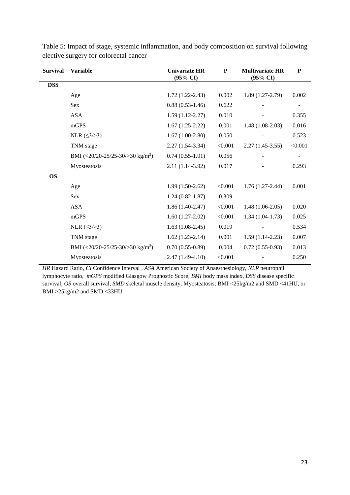| <b>Survival</b> | <b>Variable</b>                                | <b>Univariate HR</b><br>$(95\% \text{ CI})$ | ${\bf P}$ | <b>Multivariate HR</b><br>(95% CI) | ${\bf P}$ |
|-----------------|------------------------------------------------|---------------------------------------------|-----------|------------------------------------|-----------|
| <b>DSS</b>      |                                                |                                             |           |                                    |           |
|                 | Age                                            | $1.72(1.22-2.43)$                           | 0.002     | $1.89(1.27-2.79)$                  | 0.002     |
|                 | <b>Sex</b>                                     | $0.88(0.53-1.46)$                           | 0.622     |                                    |           |
|                 | <b>ASA</b>                                     | $1.59(1.12-2.27)$                           | 0.010     |                                    | 0.355     |
|                 | mGPS                                           | $1.67(1.25-2.22)$                           | 0.001     | $1.48(1.08-2.03)$                  | 0.016     |
|                 | NLR $(≤3/>3)$                                  | $1.67(1.00-2.80)$                           | 0.050     |                                    | 0.523     |
|                 | TNM stage                                      | $2.27(1.54-3.34)$                           | < 0.001   | $2.27(1.45-3.55)$                  | < 0.001   |
|                 | BMI (<20/20-25/25-30/>30 kg/m <sup>2</sup> )   | $0.74(0.55-1.01)$                           | 0.056     |                                    |           |
|                 | Myosteatosis                                   | $2.11(1.14-3.92)$                           | 0.017     |                                    | 0.293     |
| <b>OS</b>       |                                                |                                             |           |                                    |           |
|                 | Age                                            | $1.99(1.50-2.62)$                           | < 0.001   | $1.76(1.27-2.44)$                  | 0.001     |
|                 | <b>Sex</b>                                     | $1.24(0.82 - 1.87)$                         | 0.309     |                                    |           |
|                 | <b>ASA</b>                                     | $1.86(1.40-2.47)$                           | < 0.001   | $1.48(1.06-2.05)$                  | 0.020     |
|                 | mGPS                                           | $1.60(1.27-2.02)$                           | < 0.001   | $1.34(1.04-1.73)$                  | 0.025     |
|                 | NLR $( \leq 3 / > 3)$                          | $1.63(1.08-2.45)$                           | 0.019     |                                    | 0.534     |
|                 | TNM stage                                      | $1.62(1.23-2.14)$                           | 0.001     | $1.59(1.14-2.23)$                  | 0.007     |
|                 | BMI $(<20/20-25/25-30)>30$ kg/m <sup>2</sup> ) | $0.70(0.55-0.89)$                           | 0.004     | $0.72(0.55-0.93)$                  | 0.013     |
|                 | Myosteatosis                                   | $2.47(1.49-4.10)$                           | < 0.001   |                                    | 0.250     |

Table 5: Impact of stage, systemic inflammation, and body composition on survival following elective surgery for colorectal cancer

*HR* Hazard Ratio, *CI* Confidence Interval , *ASA* American Society of Anaesthesiology, *NLR* neutrophil lymphocyte ratio, *mGPS* modified Glasgow Prognostic Score*, BMI* body mass index*, DSS* disease specific survival, *OS* overall survival, *SMD* skeletal muscle density, Myosteatosis; BMI <25kg/m2 and SMD <41HU, or BMI >25kg/m2 and SMD <33HU